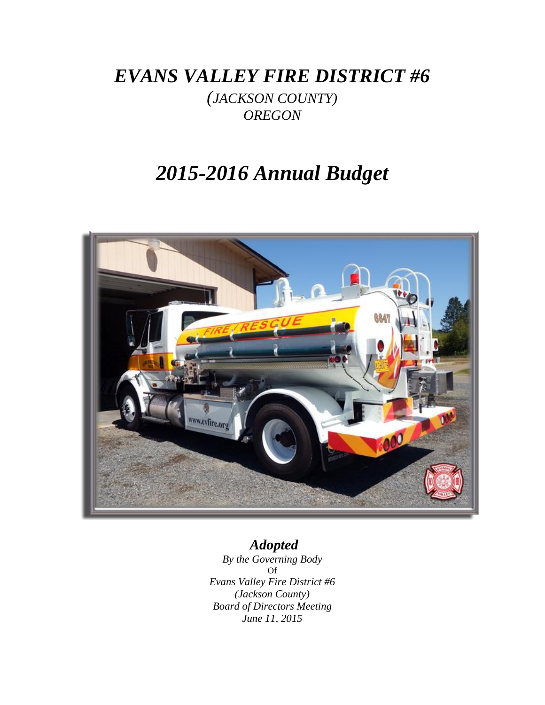*EVANS VALLEY FIRE DISTRICT #6*

*(JACKSON COUNTY) OREGON*

# *2015-2016 Annual Budget*



# *Adopted*

*By the Governing Body* Of *Evans Valley Fire District #6 (Jackson County) Board of Directors Meeting June 11, 2015*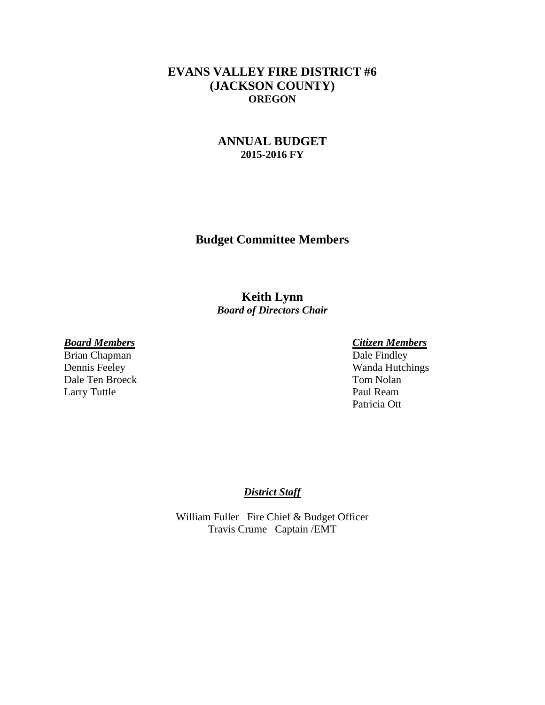## **EVANS VALLEY FIRE DISTRICT #6 (JACKSON COUNTY) OREGON**

## **ANNUAL BUDGET 2015-2016 FY**

**Budget Committee Members**

**Keith Lynn** *Board of Directors Chair*

Brian Chapman Dale Ten Broeck Tom Nolan Larry Tuttle Paul Ream

*Board Members Citizen Members* Dennis Feeley Wanda Hutchings Patricia Ott

### *District Staff*

William Fuller Fire Chief & Budget Officer Travis Crume Captain /EMT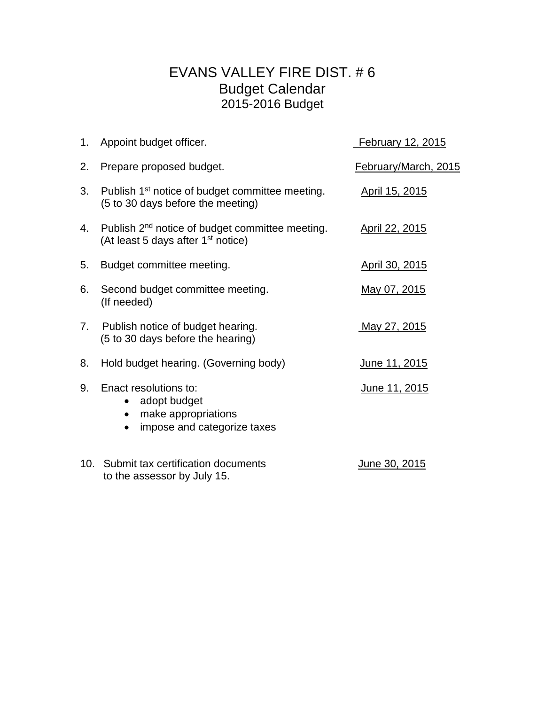# EVANS VALLEY FIRE DIST. # 6 Budget Calendar 2015-2016 Budget

|    | 1. Appoint budget officer.                                                                                    | February 12, 2015    |
|----|---------------------------------------------------------------------------------------------------------------|----------------------|
| 2. | Prepare proposed budget.                                                                                      | February/March, 2015 |
| 3. | Publish 1 <sup>st</sup> notice of budget committee meeting.<br>(5 to 30 days before the meeting)              | April 15, 2015       |
| 4. | Publish 2 <sup>nd</sup> notice of budget committee meeting.<br>(At least 5 days after 1 <sup>st</sup> notice) | April 22, 2015       |
| 5. | Budget committee meeting.                                                                                     | April 30, 2015       |
| 6. | Second budget committee meeting.<br>(If needed)                                                               | May 07, 2015         |
| 7. | Publish notice of budget hearing.<br>(5 to 30 days before the hearing)                                        | <u>May 27, 2015</u>  |
| 8. | Hold budget hearing. (Governing body)                                                                         | June 11, 2015        |
| 9. | Enact resolutions to:<br>adopt budget<br>$\bullet$<br>make appropriations<br>impose and categorize taxes      | June 11, 2015        |
|    | 10. Submit tax certification documents<br>to the assessor by July 15.                                         | <u>June 30, 2015</u> |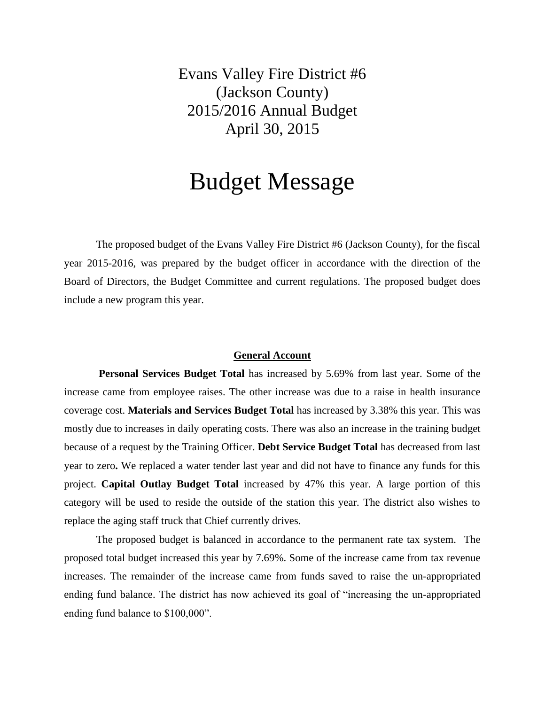Evans Valley Fire District #6 (Jackson County) 2015/2016 Annual Budget April 30, 2015

# Budget Message

The proposed budget of the Evans Valley Fire District #6 (Jackson County), for the fiscal year 2015-2016, was prepared by the budget officer in accordance with the direction of the Board of Directors, the Budget Committee and current regulations. The proposed budget does include a new program this year.

### **General Account**

**Personal Services Budget Total** has increased by 5.69% from last year. Some of the increase came from employee raises. The other increase was due to a raise in health insurance coverage cost. **Materials and Services Budget Total** has increased by 3.38% this year. This was mostly due to increases in daily operating costs. There was also an increase in the training budget because of a request by the Training Officer. **Debt Service Budget Total** has decreased from last year to zero**.** We replaced a water tender last year and did not have to finance any funds for this project. **Capital Outlay Budget Total** increased by 47% this year. A large portion of this category will be used to reside the outside of the station this year. The district also wishes to replace the aging staff truck that Chief currently drives.

The proposed budget is balanced in accordance to the permanent rate tax system. The proposed total budget increased this year by 7.69%. Some of the increase came from tax revenue increases. The remainder of the increase came from funds saved to raise the un-appropriated ending fund balance. The district has now achieved its goal of "increasing the un-appropriated ending fund balance to \$100,000".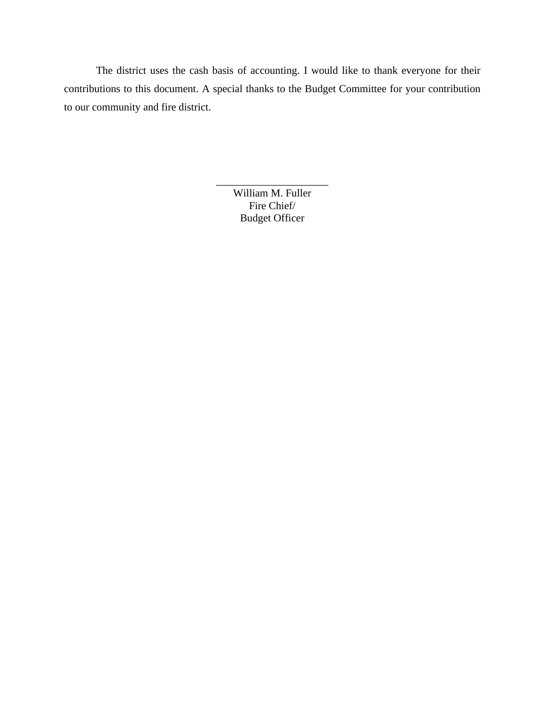The district uses the cash basis of accounting. I would like to thank everyone for their contributions to this document. A special thanks to the Budget Committee for your contribution to our community and fire district.

> William M. Fuller Fire Chief/ Budget Officer

\_\_\_\_\_\_\_\_\_\_\_\_\_\_\_\_\_\_\_\_\_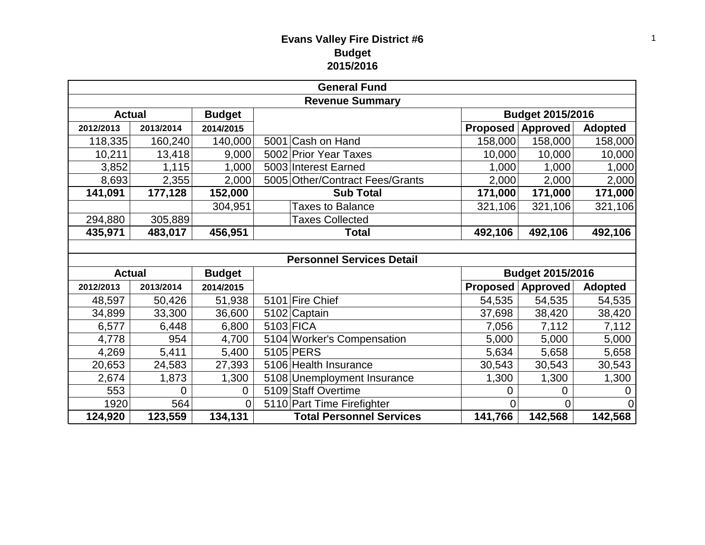| <b>General Fund</b>            |           |               |  |                                  |                 |                  |                |  |  |
|--------------------------------|-----------|---------------|--|----------------------------------|-----------------|------------------|----------------|--|--|
| <b>Revenue Summary</b>         |           |               |  |                                  |                 |                  |                |  |  |
| <b>Actual</b>                  |           | <b>Budget</b> |  |                                  |                 | Budget 2015/2016 |                |  |  |
| 2012/2013                      | 2013/2014 | 2014/2015     |  |                                  | <b>Proposed</b> | <b>Approved</b>  | <b>Adopted</b> |  |  |
| 118,335                        | 160,240   | 140,000       |  | 5001 Cash on Hand                | 158,000         | 158,000          | 158,000        |  |  |
| 10,211                         | 13,418    | 9,000         |  | 5002 Prior Year Taxes            | 10,000          | 10,000           | 10,000         |  |  |
| 3,852                          | 1,115     | 1,000         |  | 5003 Interest Earned             | 1,000           | 1,000            | 1,000          |  |  |
| 8,693                          | 2,355     | 2,000         |  | 5005 Other/Contract Fees/Grants  | 2,000           | 2,000            | 2,000          |  |  |
| 141,091                        | 177,128   | 152,000       |  | <b>Sub Total</b>                 | 171,000         | 171,000          | 171,000        |  |  |
|                                |           | 304,951       |  | <b>Taxes to Balance</b>          | 321,106         | 321,106          | 321,106        |  |  |
| 294,880                        | 305,889   |               |  | <b>Taxes Collected</b>           |                 |                  |                |  |  |
| 456,951<br>435,971<br>483,017  |           |               |  | <b>Total</b>                     | 492,106         | 492,106          | 492,106        |  |  |
|                                |           |               |  |                                  |                 |                  |                |  |  |
|                                |           |               |  | <b>Personnel Services Detail</b> |                 |                  |                |  |  |
| <b>Actual</b><br><b>Budget</b> |           |               |  |                                  |                 | Budget 2015/2016 |                |  |  |
| 2012/2013                      | 2013/2014 | 2014/2015     |  |                                  | Proposed        | Approved         | <b>Adopted</b> |  |  |
| 48,597                         | 50,426    | 51,938        |  | 5101 Fire Chief                  | 54,535          | 54,535           | 54,535         |  |  |
| 34,899                         | 33,300    | 36,600        |  | 5102 Captain                     | 37,698          | 38,420           | 38,420         |  |  |
| 6,577                          | 6,448     | 6,800         |  | 5103 FICA                        | 7,056           | 7,112            | 7,112          |  |  |
| 4,778                          | 954       | 4,700         |  | 5104 Worker's Compensation       | 5,000           | 5,000            | 5,000          |  |  |
| 4,269                          | 5,411     | 5,400         |  | 5105 PERS                        | 5,634           | 5,658            | 5,658          |  |  |
| 20,653                         | 24,583    | 27,393        |  | 5106 Health Insurance            | 30,543          | 30,543           | 30,543         |  |  |
| 2,674                          | 1,873     | 1,300         |  | 5108 Unemployment Insurance      | 1,300           | 1,300            | 1,300          |  |  |
| 553                            | 0         | $\mathbf{0}$  |  | 5109 Staff Overtime              | 0               | 0                | 0              |  |  |
| 1920                           | 564       | 0             |  | 5110 Part Time Firefighter       | $\overline{0}$  | 0                | $\overline{0}$ |  |  |
| 124,920                        | 123,559   | 134,131       |  | <b>Total Personnel Services</b>  | 141,766         | 142,568          | 142,568        |  |  |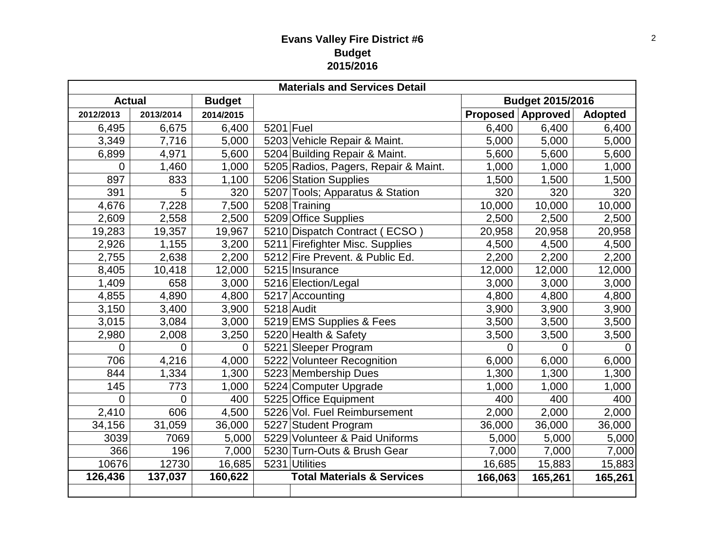| <b>Materials and Services Detail</b> |                |               |                                       |         |                          |                |  |  |  |
|--------------------------------------|----------------|---------------|---------------------------------------|---------|--------------------------|----------------|--|--|--|
| <b>Actual</b>                        |                | <b>Budget</b> |                                       |         | Budget 2015/2016         |                |  |  |  |
| 2012/2013                            | 2013/2014      | 2014/2015     |                                       |         | <b>Proposed Approved</b> | <b>Adopted</b> |  |  |  |
| 6,495                                | 6,675          | 6,400         | 5201 Fuel                             | 6,400   | 6,400                    | 6,400          |  |  |  |
| 3,349                                | 7,716          | 5,000         | 5203 Vehicle Repair & Maint.          | 5,000   | 5,000                    | 5,000          |  |  |  |
| 6,899                                | 4,971          | 5,600         | 5204 Building Repair & Maint.         | 5,600   | 5,600                    | 5,600          |  |  |  |
| 0                                    | 1,460          | 1,000         | 5205 Radios, Pagers, Repair & Maint.  | 1,000   | 1,000                    | 1,000          |  |  |  |
| 897                                  | 833            | 1,100         | 5206 Station Supplies                 | 1,500   | 1,500                    | 1,500          |  |  |  |
| 391                                  | 5              | 320           | 5207 Tools; Apparatus & Station       | 320     | 320                      | 320            |  |  |  |
| 4,676                                | 7,228          | 7,500         | 5208 Training                         | 10,000  | 10,000                   | 10,000         |  |  |  |
| 2,609                                | 2,558          | 2,500         | 5209 Office Supplies                  | 2,500   | 2,500                    | 2,500          |  |  |  |
| 19,283                               | 19,357         | 19,967        | 5210 Dispatch Contract (ECSO)         | 20,958  | 20,958                   | 20,958         |  |  |  |
| 2,926                                | 1,155          | 3,200         | 5211 Firefighter Misc. Supplies       | 4,500   | 4,500                    | 4,500          |  |  |  |
| 2,755                                | 2,638          | 2,200         | 5212 Fire Prevent. & Public Ed.       | 2,200   | 2,200                    | 2,200          |  |  |  |
| 8,405                                | 10,418         | 12,000        | 5215 Insurance                        | 12,000  | 12,000                   | 12,000         |  |  |  |
| 1,409                                | 658            | 3,000         | 5216 Election/Legal                   | 3,000   | 3,000                    | 3,000          |  |  |  |
| 4,855                                | 4,890          | 4,800         | 5217 Accounting                       | 4,800   | 4,800                    | 4,800          |  |  |  |
| 3,150                                | 3,400          | 3,900         | $5218$ Audit                          | 3,900   | 3,900                    | 3,900          |  |  |  |
| 3,015                                | 3,084          | 3,000         | 5219 EMS Supplies & Fees              | 3,500   | 3,500                    | 3,500          |  |  |  |
| 2,980                                | 2,008          | 3,250         | 5220 Health & Safety                  | 3,500   | 3,500                    | 3,500          |  |  |  |
| 0                                    | 0              | $\mathbf 0$   | 5221 Sleeper Program                  | 0       | 0                        | 0              |  |  |  |
| 706                                  | 4,216          | 4,000         | 5222 Volunteer Recognition            | 6,000   | 6,000                    | 6,000          |  |  |  |
| 844                                  | 1,334          | 1,300         | 5223 Membership Dues                  | 1,300   | 1,300                    | 1,300          |  |  |  |
| 145                                  | 773            | 1,000         | 5224 Computer Upgrade                 | 1,000   | 1,000                    | 1,000          |  |  |  |
| $\overline{0}$                       | $\overline{0}$ | 400           | 5225 Office Equipment                 | 400     | 400                      | 400            |  |  |  |
| 2,410                                | 606            | 4,500         | 5226 Vol. Fuel Reimbursement          | 2,000   | 2,000                    | 2,000          |  |  |  |
| 34,156                               | 31,059         | 36,000        | 5227 Student Program                  | 36,000  | 36,000                   | 36,000         |  |  |  |
| 3039                                 | 7069           | 5,000         | 5229 Volunteer & Paid Uniforms        | 5,000   | 5,000                    | 5,000          |  |  |  |
| 366                                  | 196            | 7,000         | 5230 Turn-Outs & Brush Gear           | 7,000   | 7,000                    | 7,000          |  |  |  |
| 10676                                | 12730          | 16,685        | 5231 Utilities                        | 16,685  | 15,883                   | 15,883         |  |  |  |
| 126,436                              | 137,037        | 160,622       | <b>Total Materials &amp; Services</b> | 166,063 | 165,261                  | 165,261        |  |  |  |
|                                      |                |               |                                       |         |                          |                |  |  |  |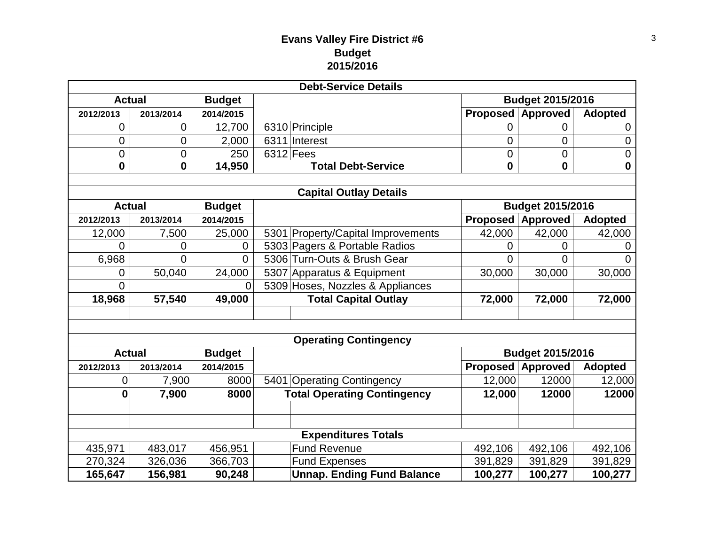| <b>Debt-Service Details</b>  |                |               |  |                                    |                         |                          |                |  |  |  |
|------------------------------|----------------|---------------|--|------------------------------------|-------------------------|--------------------------|----------------|--|--|--|
| <b>Actual</b>                |                | <b>Budget</b> |  |                                    | <b>Budget 2015/2016</b> |                          |                |  |  |  |
| 2012/2013                    | 2013/2014      | 2014/2015     |  |                                    | <b>Proposed</b>         | <b>Approved</b>          | <b>Adopted</b> |  |  |  |
| 0                            | $\mathbf 0$    | 12,700        |  | 6310 Principle                     | 0                       | 0                        | 0              |  |  |  |
| 0                            | $\overline{0}$ | 2,000         |  | 6311 Interest                      | 0                       | $\overline{0}$           | 0              |  |  |  |
| 0                            | $\mathbf 0$    | 250           |  | $6312$ Fees                        | 0                       | $\mathbf 0$              | 0              |  |  |  |
| $\mathbf 0$                  | $\mathbf 0$    | 14,950        |  | <b>Total Debt-Service</b>          | 0                       | $\boldsymbol{0}$         | $\mathbf 0$    |  |  |  |
|                              |                |               |  |                                    |                         |                          |                |  |  |  |
|                              |                |               |  | <b>Capital Outlay Details</b>      |                         |                          |                |  |  |  |
| <b>Actual</b>                |                | <b>Budget</b> |  |                                    |                         | <b>Budget 2015/2016</b>  |                |  |  |  |
| 2012/2013                    | 2013/2014      | 2014/2015     |  |                                    | <b>Proposed</b>         | Approved                 | <b>Adopted</b> |  |  |  |
| 12,000                       | 7,500          | 25,000        |  | 5301 Property/Capital Improvements | 42,000                  | 42,000                   | 42,000         |  |  |  |
| 0                            | 0              | $\mathbf 0$   |  | 5303 Pagers & Portable Radios      | 0                       | 0                        | 0              |  |  |  |
| 6,968                        | $\overline{0}$ | 0             |  | 5306 Turn-Outs & Brush Gear        | 0                       | 0                        | 0              |  |  |  |
| 0                            | 50,040         | 24,000        |  | 5307 Apparatus & Equipment         | 30,000                  | 30,000                   | 30,000         |  |  |  |
| 0                            |                | $\Omega$      |  | 5309 Hoses, Nozzles & Appliances   |                         |                          |                |  |  |  |
| 18,968                       | 57,540         | 49,000        |  | <b>Total Capital Outlay</b>        | 72,000                  | 72,000                   | 72,000         |  |  |  |
|                              |                |               |  |                                    |                         |                          |                |  |  |  |
|                              |                |               |  |                                    |                         |                          |                |  |  |  |
| <b>Operating Contingency</b> |                |               |  |                                    |                         |                          |                |  |  |  |
| <b>Actual</b>                |                | <b>Budget</b> |  |                                    | <b>Budget 2015/2016</b> |                          |                |  |  |  |
| 2012/2013                    | 2013/2014      | 2014/2015     |  |                                    |                         | <b>Proposed Approved</b> | <b>Adopted</b> |  |  |  |
| 0                            | 7,900          | 8000          |  | 5401 Operating Contingency         | 12,000                  | 12000                    | 12,000         |  |  |  |
| $\mathbf 0$                  | 7,900          | 8000          |  | <b>Total Operating Contingency</b> | 12,000                  | 12000                    | 12000          |  |  |  |
|                              |                |               |  |                                    |                         |                          |                |  |  |  |
|                              |                |               |  |                                    |                         |                          |                |  |  |  |
| <b>Expenditures Totals</b>   |                |               |  |                                    |                         |                          |                |  |  |  |
| 435,971                      | 483,017        | 456,951       |  | <b>Fund Revenue</b>                | 492,106                 | 492,106                  | 492,106        |  |  |  |
| 270,324                      | 326,036        | 366,703       |  | <b>Fund Expenses</b>               | 391,829                 | 391,829                  | 391,829        |  |  |  |
| 165,647                      | 156,981        | 90,248        |  | <b>Unnap. Ending Fund Balance</b>  | 100,277                 | 100,277                  | 100,277        |  |  |  |